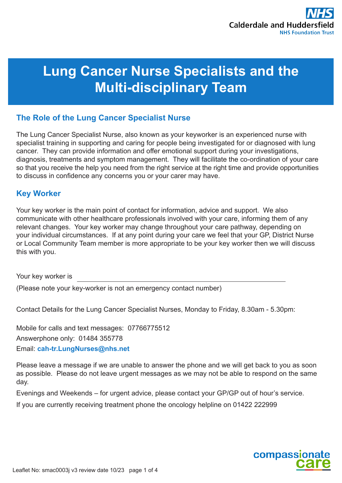# **Lung Cancer Nurse Specialists and the Multi-disciplinary Team**

# **The Role of the Lung Cancer Specialist Nurse**

The Lung Cancer Specialist Nurse, also known as your keyworker is an experienced nurse with specialist training in supporting and caring for people being investigated for or diagnosed with lung cancer. They can provide information and offer emotional support during your investigations, diagnosis, treatments and symptom management. They will facilitate the co-ordination of your care so that you receive the help you need from the right service at the right time and provide opportunities to discuss in confidence any concerns you or your carer may have.

## **Key Worker**

Your key worker is the main point of contact for information, advice and support. We also communicate with other healthcare professionals involved with your care, informing them of any relevant changes. Your key worker may change throughout your care pathway, depending on your individual circumstances. If at any point during your care we feel that your GP, District Nurse or Local Community Team member is more appropriate to be your key worker then we will discuss this with you.

Your key worker is

(Please note your key-worker is not an emergency contact number)

Contact Details for the Lung Cancer Specialist Nurses, Monday to Friday, 8.30am - 5.30pm:

Mobile for calls and text messages: 07766775512

Answerphone only: 01484 355778

Email: **cah-tr.LungNurses@nhs.net**

Please leave a message if we are unable to answer the phone and we will get back to you as soon as possible. Please do not leave urgent messages as we may not be able to respond on the same day.

Evenings and Weekends – for urgent advice, please contact your GP/GP out of hour's service.

If you are currently receiving treatment phone the oncology helpline on 01422 222999

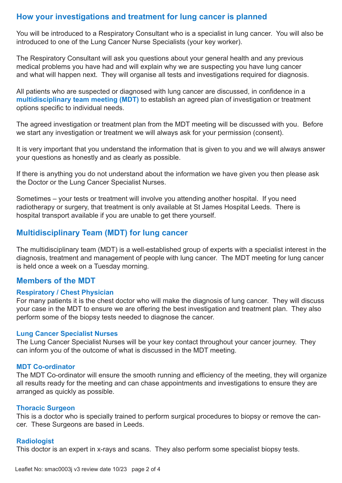# **How your investigations and treatment for lung cancer is planned**

You will be introduced to a Respiratory Consultant who is a specialist in lung cancer. You will also be introduced to one of the Lung Cancer Nurse Specialists (your key worker).

The Respiratory Consultant will ask you questions about your general health and any previous medical problems you have had and will explain why we are suspecting you have lung cancer and what will happen next. They will organise all tests and investigations required for diagnosis.

All patients who are suspected or diagnosed with lung cancer are discussed, in confidence in a **multidisciplinary team meeting (MDT)** to establish an agreed plan of investigation or treatment options specific to individual needs.

The agreed investigation or treatment plan from the MDT meeting will be discussed with you. Before we start any investigation or treatment we will always ask for your permission (consent).

It is very important that you understand the information that is given to you and we will always answer your questions as honestly and as clearly as possible.

If there is anything you do not understand about the information we have given you then please ask the Doctor or the Lung Cancer Specialist Nurses.

Sometimes – your tests or treatment will involve you attending another hospital. If you need radiotherapy or surgery, that treatment is only available at St James Hospital Leeds. There is hospital transport available if you are unable to get there yourself.

## **Multidisciplinary Team (MDT) for lung cancer**

The multidisciplinary team (MDT) is a well-established group of experts with a specialist interest in the diagnosis, treatment and management of people with lung cancer. The MDT meeting for lung cancer is held once a week on a Tuesday morning.

### **Members of the MDT**

#### **Respiratory / Chest Physician**

For many patients it is the chest doctor who will make the diagnosis of lung cancer. They will discuss your case in the MDT to ensure we are offering the best investigation and treatment plan. They also perform some of the biopsy tests needed to diagnose the cancer.

#### **Lung Cancer Specialist Nurses**

The Lung Cancer Specialist Nurses will be your key contact throughout your cancer journey. They can inform you of the outcome of what is discussed in the MDT meeting.

#### **MDT Co-ordinator**

The MDT Co-ordinator will ensure the smooth running and efficiency of the meeting, they will organize all results ready for the meeting and can chase appointments and investigations to ensure they are arranged as quickly as possible.

#### **Thoracic Surgeon**

This is a doctor who is specially trained to perform surgical procedures to biopsy or remove the cancer. These Surgeons are based in Leeds.

#### **Radiologist**

This doctor is an expert in x-rays and scans. They also perform some specialist biopsy tests.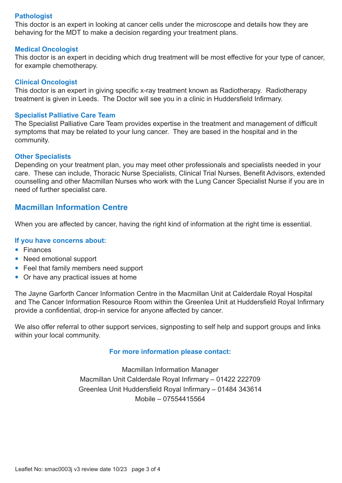#### **Pathologist**

This doctor is an expert in looking at cancer cells under the microscope and details how they are behaving for the MDT to make a decision regarding your treatment plans.

#### **Medical Oncologist**

This doctor is an expert in deciding which drug treatment will be most effective for your type of cancer, for example chemotherapy.

#### **Clinical Oncologist**

This doctor is an expert in giving specific x-ray treatment known as Radiotherapy. Radiotherapy treatment is given in Leeds. The Doctor will see you in a clinic in Huddersfield Infirmary.

#### **Specialist Palliative Care Team**

The Specialist Palliative Care Team provides expertise in the treatment and management of difficult symptoms that may be related to your lung cancer. They are based in the hospital and in the community.

#### **Other Specialists**

Depending on your treatment plan, you may meet other professionals and specialists needed in your care. These can include, Thoracic Nurse Specialists, Clinical Trial Nurses, Benefit Advisors, extended counselling and other Macmillan Nurses who work with the Lung Cancer Specialist Nurse if you are in need of further specialist care.

## **Macmillan Information Centre**

When you are affected by cancer, having the right kind of information at the right time is essential.

#### **If you have concerns about:**

- Finances
- Need emotional support
- Feel that family members need support
- Or have any practical issues at home

The Jayne Garforth Cancer Information Centre in the Macmillan Unit at Calderdale Royal Hospital and The Cancer Information Resource Room within the Greenlea Unit at Huddersfield Royal Infirmary provide a confidential, drop-in service for anyone affected by cancer.

We also offer referral to other support services, signposting to self help and support groups and links within your local community.

#### **For more information please contact:**

Macmillan Information Manager Macmillan Unit Calderdale Royal Infirmary – 01422 222709 Greenlea Unit Huddersfield Royal Infirmary – 01484 343614 Mobile – 07554415564